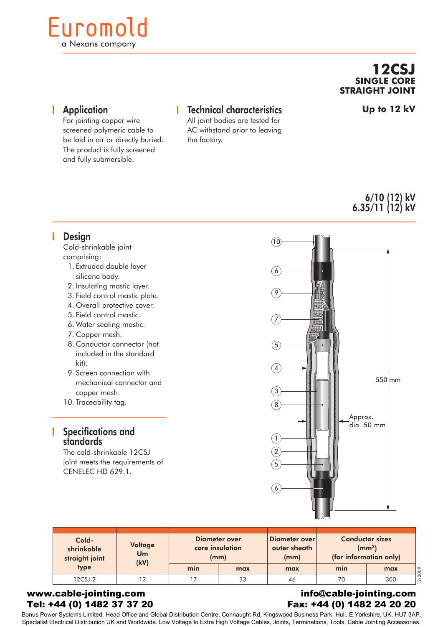# Euromold a Nexans company

## **12CSJ SINGLE CORE STRAIGHT JOINT**

**Application** 

#### For jointing copper wire screened polymeric cable to be laid in air or directly buried. The product is fully screened and fully submersible.

## Technical characteristics

All joint bodies are tested for AC withstand prior to leaving the factory.

**Up to 12 kV**

## 6/10 (12) kV 6.35/11 (12) kV

### **Design**

Cold-shrinkable joint comprising:

- 1. Extruded double layer silicone body.
- 2. Insulating mastic layer.
- 3. Field control mastic plate.
- 4. Overall protective cover.
- 5. Field control mastic.
- 6. Water sealing mastic.
- 7. Copper mesh.
- 8. Conductor connector (not included in the standard kit).
- 9. Screen connection with mechanical connector and copper mesh.
- 10. Traceability tag.

### Specifications and standards

The cold-shrinkable 12CSJ joint meets the requirements of CENELEC HD 629.1.



|  | Cold-<br>shrinkable<br>straight joint<br>type | <b>Voltage</b><br>Um<br>(kV) |     | Diameter over<br>core insulation<br>(mm) | Diameter over<br>outer sheath<br>(mm) | <b>Conductor sizes</b><br>$\rm (mm^2)$<br>(for information only) |     |                |
|--|-----------------------------------------------|------------------------------|-----|------------------------------------------|---------------------------------------|------------------------------------------------------------------|-----|----------------|
|  |                                               |                              | min | max                                      | max                                   | min                                                              | max | '2009          |
|  | $12C$ SJ-2                                    | ר ד                          |     | 33                                       | 46                                    | 70                                                               | 300 | $\overline{2}$ |

#### www.cable-jointing.com Tel: +44 (0) 1482 37 37 20

#### info@cable-jointing.com Fax: +44 (0) 1482 24 20 20

Bonus Power Systems Limited. Head Office and Global Distribution Centre, Connaught Rd, Kingswood Business Park, Hull, E.Yorkshire, UK. HU7 3AP. Specialist Electrical Distribution UK and Worldwide. Low Voltage to Extra High Voltage Cables, Joints, Terminations, Tools, Cable Jointing Accessories.